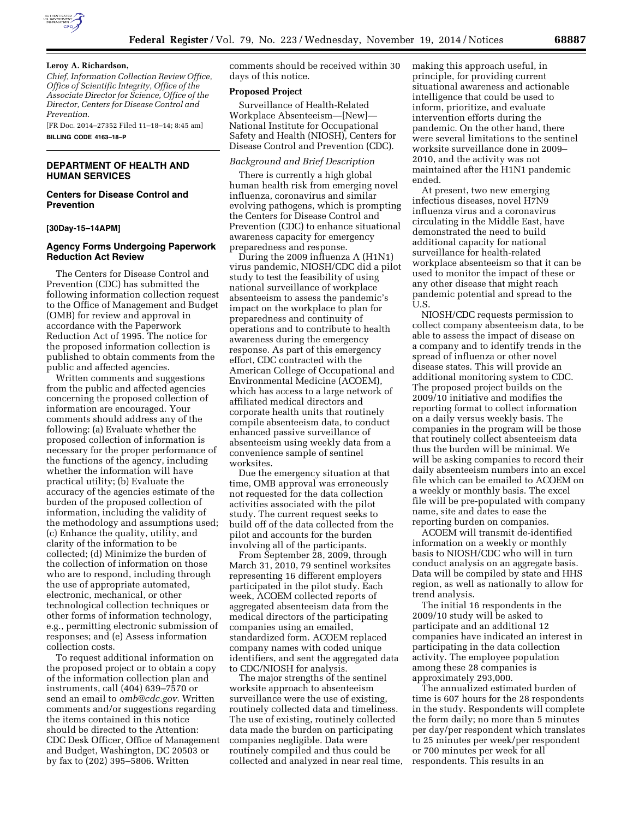

### **Leroy A. Richardson,**

*Chief, Information Collection Review Office, Office of Scientific Integrity, Office of the Associate Director for Science, Office of the Director, Centers for Disease Control and Prevention.* 

[FR Doc. 2014–27352 Filed 11–18–14; 8:45 am] **BILLING CODE 4163–18–P** 

## **DEPARTMENT OF HEALTH AND HUMAN SERVICES**

# **Centers for Disease Control and Prevention**

#### **[30Day-15–14APM]**

# **Agency Forms Undergoing Paperwork Reduction Act Review**

The Centers for Disease Control and Prevention (CDC) has submitted the following information collection request to the Office of Management and Budget (OMB) for review and approval in accordance with the Paperwork Reduction Act of 1995. The notice for the proposed information collection is published to obtain comments from the public and affected agencies.

Written comments and suggestions from the public and affected agencies concerning the proposed collection of information are encouraged. Your comments should address any of the following: (a) Evaluate whether the proposed collection of information is necessary for the proper performance of the functions of the agency, including whether the information will have practical utility; (b) Evaluate the accuracy of the agencies estimate of the burden of the proposed collection of information, including the validity of the methodology and assumptions used; (c) Enhance the quality, utility, and clarity of the information to be collected; (d) Minimize the burden of the collection of information on those who are to respond, including through the use of appropriate automated, electronic, mechanical, or other technological collection techniques or other forms of information technology, e.g., permitting electronic submission of responses; and (e) Assess information collection costs.

To request additional information on the proposed project or to obtain a copy of the information collection plan and instruments, call (404) 639–7570 or send an email to *[omb@cdc.gov.](mailto:omb@cdc.gov)* Written comments and/or suggestions regarding the items contained in this notice should be directed to the Attention: CDC Desk Officer, Office of Management and Budget, Washington, DC 20503 or by fax to (202) 395–5806. Written

comments should be received within 30 days of this notice.

#### **Proposed Project**

Surveillance of Health-Related Workplace Absenteeism—[New]— National Institute for Occupational Safety and Health (NIOSH), Centers for Disease Control and Prevention (CDC).

# *Background and Brief Description*

There is currently a high global human health risk from emerging novel influenza, coronavirus and similar evolving pathogens, which is prompting the Centers for Disease Control and Prevention (CDC) to enhance situational awareness capacity for emergency preparedness and response.

During the 2009 influenza A (H1N1) virus pandemic, NIOSH/CDC did a pilot study to test the feasibility of using national surveillance of workplace absenteeism to assess the pandemic's impact on the workplace to plan for preparedness and continuity of operations and to contribute to health awareness during the emergency response. As part of this emergency effort, CDC contracted with the American College of Occupational and Environmental Medicine (ACOEM), which has access to a large network of affiliated medical directors and corporate health units that routinely compile absenteeism data, to conduct enhanced passive surveillance of absenteeism using weekly data from a convenience sample of sentinel worksites.

Due the emergency situation at that time, OMB approval was erroneously not requested for the data collection activities associated with the pilot study. The current request seeks to build off of the data collected from the pilot and accounts for the burden involving all of the participants.

From September 28, 2009, through March 31, 2010, 79 sentinel worksites representing 16 different employers participated in the pilot study. Each week, ACOEM collected reports of aggregated absenteeism data from the medical directors of the participating companies using an emailed, standardized form. ACOEM replaced company names with coded unique identifiers, and sent the aggregated data to CDC/NIOSH for analysis.

The major strengths of the sentinel worksite approach to absenteeism surveillance were the use of existing, routinely collected data and timeliness. The use of existing, routinely collected data made the burden on participating companies negligible. Data were routinely compiled and thus could be collected and analyzed in near real time, making this approach useful, in principle, for providing current situational awareness and actionable intelligence that could be used to inform, prioritize, and evaluate intervention efforts during the pandemic. On the other hand, there were several limitations to the sentinel worksite surveillance done in 2009– 2010, and the activity was not maintained after the H1N1 pandemic ended.

At present, two new emerging infectious diseases, novel H7N9 influenza virus and a coronavirus circulating in the Middle East, have demonstrated the need to build additional capacity for national surveillance for health-related workplace absenteeism so that it can be used to monitor the impact of these or any other disease that might reach pandemic potential and spread to the U.S.

NIOSH/CDC requests permission to collect company absenteeism data, to be able to assess the impact of disease on a company and to identify trends in the spread of influenza or other novel disease states. This will provide an additional monitoring system to CDC. The proposed project builds on the 2009/10 initiative and modifies the reporting format to collect information on a daily versus weekly basis. The companies in the program will be those that routinely collect absenteeism data thus the burden will be minimal. We will be asking companies to record their daily absenteeism numbers into an excel file which can be emailed to ACOEM on a weekly or monthly basis. The excel file will be pre-populated with company name, site and dates to ease the reporting burden on companies.

ACOEM will transmit de-identified information on a weekly or monthly basis to NIOSH/CDC who will in turn conduct analysis on an aggregate basis. Data will be compiled by state and HHS region, as well as nationally to allow for trend analysis.

The initial 16 respondents in the 2009/10 study will be asked to participate and an additional 12 companies have indicated an interest in participating in the data collection activity. The employee population among these 28 companies is approximately 293,000.

The annualized estimated burden of time is 607 hours for the 28 respondents in the study. Respondents will complete the form daily; no more than 5 minutes per day/per respondent which translates to 25 minutes per week/per respondent or 700 minutes per week for all respondents. This results in an